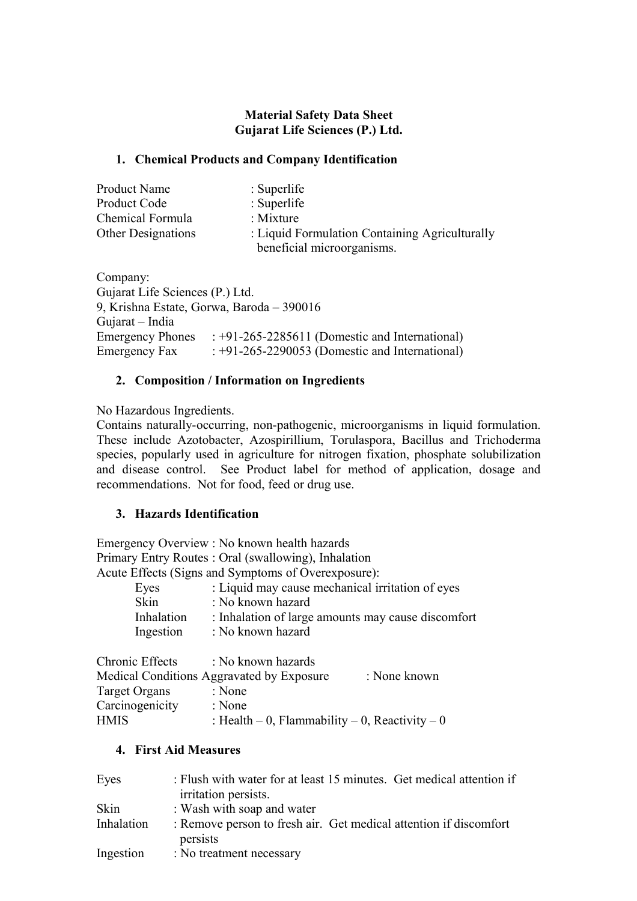## **Material Safety Data Sheet Gujarat Life Sciences (P.) Ltd.**

#### **1. Chemical Products and Company Identification**

| <b>Product Name</b>       | $\therefore$ Superlife                         |  |
|---------------------------|------------------------------------------------|--|
| Product Code              | $:$ Superlife                                  |  |
| Chemical Formula          | : Mixture                                      |  |
| <b>Other Designations</b> | : Liquid Formulation Containing Agriculturally |  |
|                           | beneficial microorganisms.                     |  |

Company: Gujarat Life Sciences (P.) Ltd. 9, Krishna Estate, Gorwa, Baroda – 390016 Gujarat – India Emergency Phones : +91-265-2285611 (Domestic and International) Emergency Fax : +91-265-2290053 (Domestic and International)

#### **2. Composition / Information on Ingredients**

No Hazardous Ingredients.

Contains naturally-occurring, non-pathogenic, microorganisms in liquid formulation. These include Azotobacter, Azospirillium, Torulaspora, Bacillus and Trichoderma species, popularly used in agriculture for nitrogen fixation, phosphate solubilization and disease control. See Product label for method of application, dosage and recommendations. Not for food, feed or drug use.

## **3. Hazards Identification**

Emergency Overview : No known health hazards Primary Entry Routes : Oral (swallowing), Inhalation Acute Effects (Signs and Symptoms of Overexposure):

| Eyes |            | : Liquid may cause mechanical irritation of eyes   |
|------|------------|----------------------------------------------------|
| Skin |            | : No known hazard                                  |
|      | Inhalation | : Inhalation of large amounts may cause discomfort |
|      | Ingestion  | : No known hazard                                  |
|      |            |                                                    |

| Chronic Effects | : No known hazards                                  |              |
|-----------------|-----------------------------------------------------|--------------|
|                 | Medical Conditions Aggravated by Exposure           | : None known |
| Target Organs   | : None                                              |              |
| Carcinogenicity | : None                                              |              |
| <b>HMIS</b>     | : Health $-0$ , Flammability $-0$ , Reactivity $-0$ |              |

## **4. First Aid Measures**

| Eyes       | : Flush with water for at least 15 minutes. Get medical attention if<br>irritation persists. |
|------------|----------------------------------------------------------------------------------------------|
| Skin       | : Wash with soap and water                                                                   |
| Inhalation | : Remove person to fresh air. Get medical attention if discomfort<br>persists                |
| Ingestion  | : No treatment necessary                                                                     |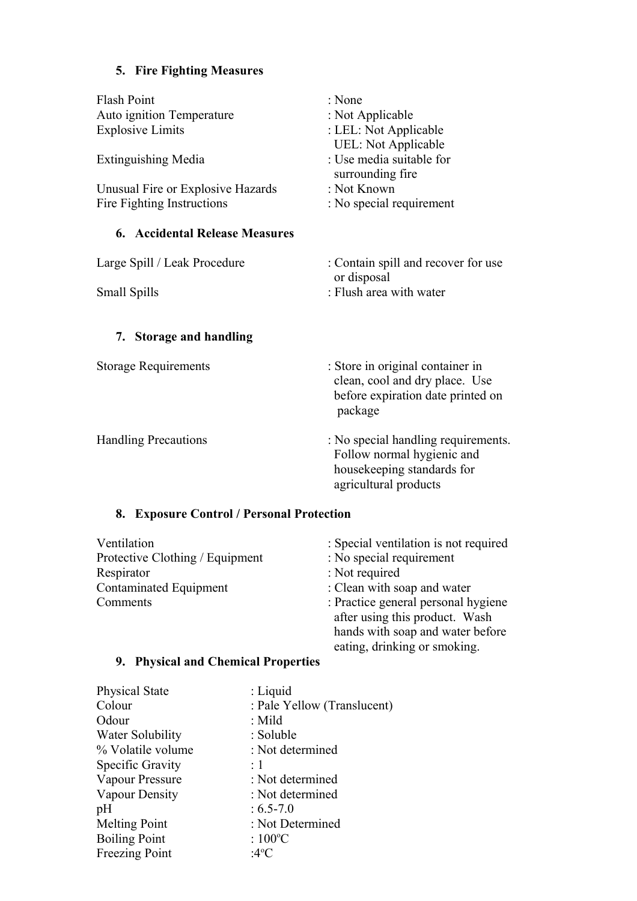# **5. Fire Fighting Measures**

| <b>Flash Point</b><br>Auto ignition Temperature<br><b>Explosive Limits</b><br><b>Extinguishing Media</b><br>Unusual Fire or Explosive Hazards<br>Fire Fighting Instructions | : None<br>: Not Applicable<br>: LEL: Not Applicable<br><b>UEL: Not Applicable</b><br>: Use media suitable for<br>surrounding fire<br>: Not Known<br>: No special requirement |
|-----------------------------------------------------------------------------------------------------------------------------------------------------------------------------|------------------------------------------------------------------------------------------------------------------------------------------------------------------------------|
| <b>6. Accidental Release Measures</b>                                                                                                                                       |                                                                                                                                                                              |
| Large Spill / Leak Procedure<br>Small Spills                                                                                                                                | : Contain spill and recover for use<br>or disposal<br>: Flush area with water                                                                                                |
| <b>Storage and handling</b><br>7.                                                                                                                                           |                                                                                                                                                                              |
| <b>Storage Requirements</b>                                                                                                                                                 | : Store in original container in<br>clean, cool and dry place. Use<br>before expiration date printed on<br>package                                                           |
| <b>Handling Precautions</b>                                                                                                                                                 | : No special handling requirements.<br>Follow normal hygienic and<br>housekeeping standards for<br>agricultural products                                                     |
| <b>Exposure Control / Personal Protection</b><br>8.                                                                                                                         |                                                                                                                                                                              |

| Ventilation                     | : Special ventilation is not required |
|---------------------------------|---------------------------------------|
| Protective Clothing / Equipment | : No special requirement              |
| Respirator                      | : Not required                        |
| <b>Contaminated Equipment</b>   | : Clean with soap and water           |
| Comments                        | : Practice general personal hygiene   |
|                                 | after using this product. Wash        |
|                                 | hands with soap and water before      |
|                                 | eating, drinking or smoking.          |

## **9. Physical and Chemical Properties**

| <b>Physical State</b> | $:$ Liquid                  |
|-----------------------|-----------------------------|
| Colour                | : Pale Yellow (Translucent) |
| Odour                 | $:$ Mild                    |
| Water Solubility      | : Soluble                   |
| % Volatile volume     | : Not determined            |
| Specific Gravity      | $\div 1$                    |
| Vapour Pressure       | : Not determined            |
| Vapour Density        | : Not determined            |
| pH                    | $: 6.5 - 7.0$               |
| <b>Melting Point</b>  | : Not Determined            |
| <b>Boiling Point</b>  | : $100^{\circ}$ C           |
| Freezing Point        | :4°C                        |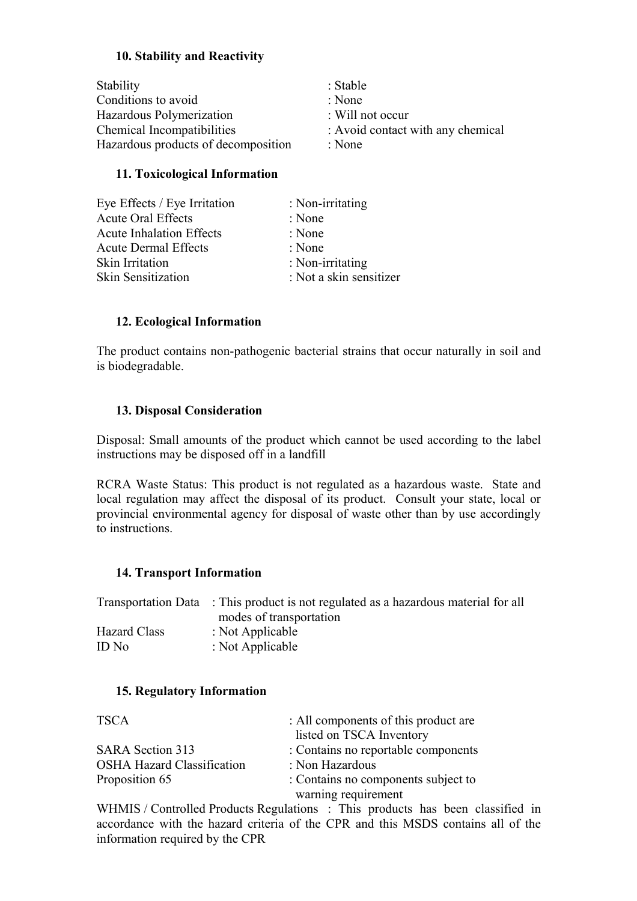## **10. Stability and Reactivity**

| Stability                           | : Stable                          |
|-------------------------------------|-----------------------------------|
| Conditions to avoid                 | : None                            |
| Hazardous Polymerization            | $\therefore$ Will not occur       |
| Chemical Incompatibilities          | : Avoid contact with any chemical |
| Hazardous products of decomposition | : None                            |

#### **11. Toxicological Information**

| Eye Effects / Eye Irritation    | : Non-irritating        |
|---------------------------------|-------------------------|
| <b>Acute Oral Effects</b>       | : None                  |
| <b>Acute Inhalation Effects</b> | : None                  |
| <b>Acute Dermal Effects</b>     | : None                  |
| Skin Irritation                 | : Non-irritating        |
| <b>Skin Sensitization</b>       | : Not a skin sensitizer |

## **12. Ecological Information**

The product contains non-pathogenic bacterial strains that occur naturally in soil and is biodegradable.

#### **13. Disposal Consideration**

Disposal: Small amounts of the product which cannot be used according to the label instructions may be disposed off in a landfill

RCRA Waste Status: This product is not regulated as a hazardous waste. State and local regulation may affect the disposal of its product. Consult your state, local or provincial environmental agency for disposal of waste other than by use accordingly to instructions.

#### **14. Transport Information**

|              | Transportation Data : This product is not regulated as a hazardous material for all |
|--------------|-------------------------------------------------------------------------------------|
|              | modes of transportation                                                             |
| Hazard Class | : Not Applicable                                                                    |
| ID No        | : Not Applicable                                                                    |

#### **15. Regulatory Information**

| <b>TSCA</b>                       | : All components of this product are |
|-----------------------------------|--------------------------------------|
|                                   | listed on TSCA Inventory             |
| <b>SARA Section 313</b>           | : Contains no reportable components  |
| <b>OSHA Hazard Classification</b> | : Non Hazardous                      |
| Proposition 65                    | : Contains no components subject to  |
|                                   | warning requirement                  |

WHMIS / Controlled Products Regulations : This products has been classified in accordance with the hazard criteria of the CPR and this MSDS contains all of the information required by the CPR